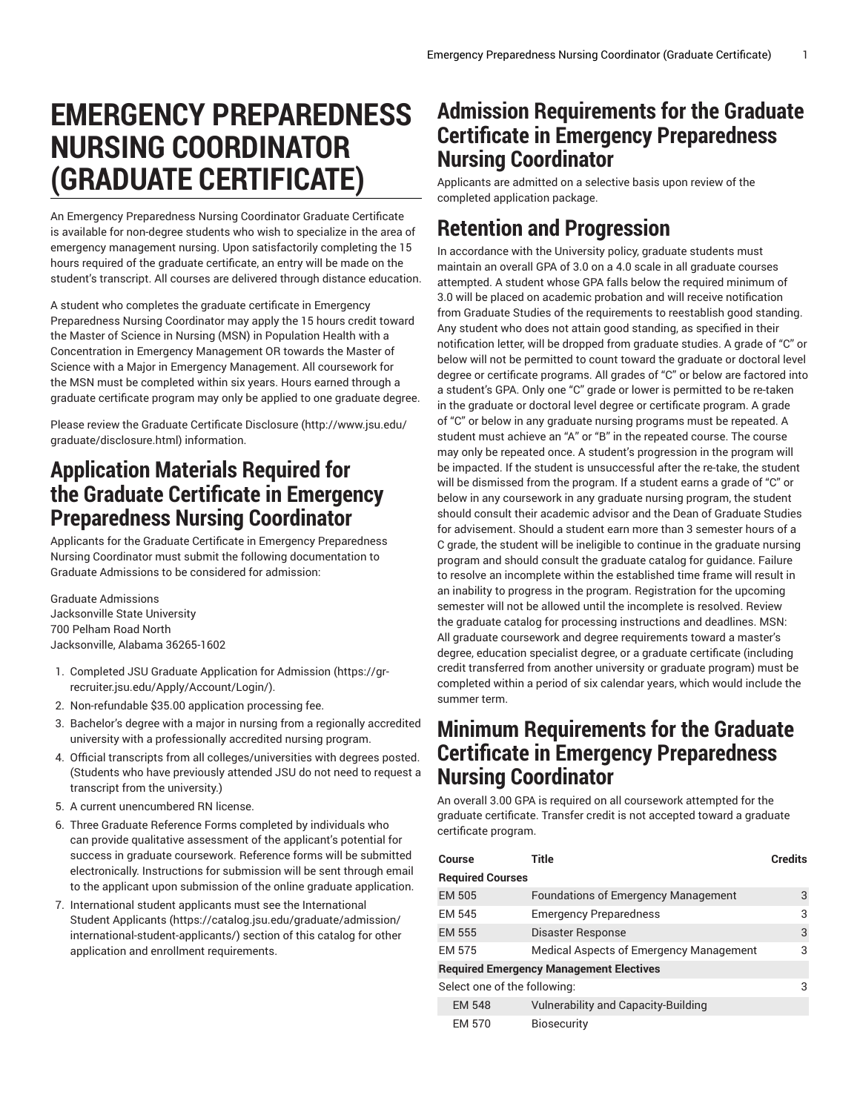# **EMERGENCY PREPAREDNESS NURSING COORDINATOR (GRADUATE CERTIFICATE)**

An Emergency Preparedness Nursing Coordinator Graduate Certificate is available for non-degree students who wish to specialize in the area of emergency management nursing. Upon satisfactorily completing the 15 hours required of the graduate certificate, an entry will be made on the student's transcript. All courses are delivered through distance education.

A student who completes the graduate certificate in Emergency Preparedness Nursing Coordinator may apply the 15 hours credit toward the Master of Science in Nursing (MSN) in Population Health with a Concentration in Emergency Management OR towards the Master of Science with a Major in Emergency Management. All coursework for the MSN must be completed within six years. Hours earned through a graduate certificate program may only be applied to one graduate degree.

Please review the Graduate Certificate [Disclosure \(http://www.jsu.edu/](http://www.jsu.edu/graduate/disclosure.html) [graduate/disclosure.html](http://www.jsu.edu/graduate/disclosure.html)) information.

#### **Application Materials Required for the Graduate Certificate in Emergency Preparedness Nursing Coordinator**

Applicants for the Graduate Certificate in Emergency Preparedness Nursing Coordinator must submit the following documentation to Graduate Admissions to be considered for admission:

Graduate Admissions Jacksonville State University 700 Pelham Road North Jacksonville, Alabama 36265-1602

- 1. Completed JSU [Graduate Application for Admission \(https://gr](https://gr-recruiter.jsu.edu/Apply/Account/Login/)[recruiter.jsu.edu/Apply/Account/Login/](https://gr-recruiter.jsu.edu/Apply/Account/Login/)).
- 2. Non-refundable \$35.00 application processing fee.
- 3. Bachelor's degree with a major in nursing from a regionally accredited university with a professionally accredited nursing program.
- 4. Official transcripts from all colleges/universities with degrees posted. (Students who have previously attended JSU do not need to request a transcript from the university.)
- 5. A current unencumbered RN license.
- 6. Three Graduate Reference Forms completed by individuals who can provide qualitative assessment of the applicant's potential for success in graduate coursework. Reference forms will be submitted electronically. Instructions for submission will be sent through email to the applicant upon submission of the online graduate application.
- 7. International student applicants must see the [International](https://catalog.jsu.edu/graduate/admission/international-student-applicants/) [Student Applicants \(https://catalog.jsu.edu/graduate/admission/](https://catalog.jsu.edu/graduate/admission/international-student-applicants/) [international-student-applicants/](https://catalog.jsu.edu/graduate/admission/international-student-applicants/)) section of this catalog for other application and enrollment requirements.

## **Admission Requirements for the Graduate Certificate in Emergency Preparedness Nursing Coordinator**

Applicants are admitted on a selective basis upon review of the completed application package.

## **Retention and Progression**

In accordance with the University policy, graduate students must maintain an overall GPA of 3.0 on a 4.0 scale in all graduate courses attempted. A student whose GPA falls below the required minimum of 3.0 will be placed on academic probation and will receive notification from Graduate Studies of the requirements to reestablish good standing. Any student who does not attain good standing, as specified in their notification letter, will be dropped from graduate studies. A grade of "C" or below will not be permitted to count toward the graduate or doctoral level degree or certificate programs. All grades of "C" or below are factored into a student's GPA. Only one "C" grade or lower is permitted to be re-taken in the graduate or doctoral level degree or certificate program. A grade of "C" or below in any graduate nursing programs must be repeated. A student must achieve an "A" or "B" in the repeated course. The course may only be repeated once. A student's progression in the program will be impacted. If the student is unsuccessful after the re-take, the student will be dismissed from the program. If a student earns a grade of "C" or below in any coursework in any graduate nursing program, the student should consult their academic advisor and the Dean of Graduate Studies for advisement. Should a student earn more than 3 semester hours of a C grade, the student will be ineligible to continue in the graduate nursing program and should consult the graduate catalog for guidance. Failure to resolve an incomplete within the established time frame will result in an inability to progress in the program. Registration for the upcoming semester will not be allowed until the incomplete is resolved. Review the graduate catalog for processing instructions and deadlines. MSN: All graduate coursework and degree requirements toward a master's degree, education specialist degree, or a graduate certificate (including credit transferred from another university or graduate program) must be completed within a period of six calendar years, which would include the summer term.

#### **Minimum Requirements for the Graduate Certificate in Emergency Preparedness Nursing Coordinator**

An overall 3.00 GPA is required on all coursework attempted for the graduate certificate. Transfer credit is not accepted toward a graduate certificate program.

| Course                       | Title                                          | <b>Credits</b> |
|------------------------------|------------------------------------------------|----------------|
| <b>Required Courses</b>      |                                                |                |
| <b>EM 505</b>                | <b>Foundations of Emergency Management</b>     | 3              |
| EM 545                       | <b>Emergency Preparedness</b>                  | 3              |
| EM 555                       | Disaster Response                              | 3              |
| EM 575                       | Medical Aspects of Emergency Management        | 3              |
|                              | <b>Required Emergency Management Electives</b> |                |
| Select one of the following: |                                                | 3              |
| <b>EM 548</b>                | Vulnerability and Capacity-Building            |                |
| <b>EM 570</b>                | <b>Biosecurity</b>                             |                |